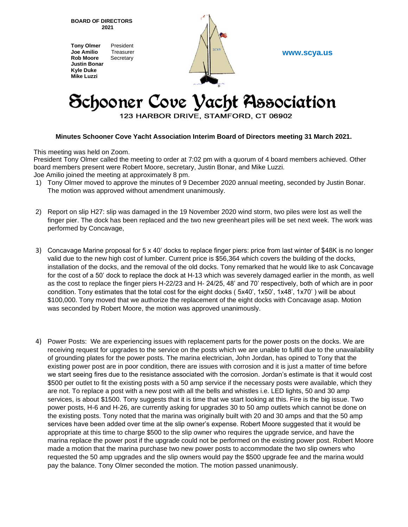**BOARD OF DIRECTORS 2021**

**Tony Olmer** President **Joe Amilio** Treasurer **Rob Moore** Secretary **Justin Bonar Kyle Duke Mike Luzzi**



**www.scya.us**

## Schooner Cove Vacht Association

123 HARBOR DRIVE, STAMFORD, CT 06902

## **Minutes Schooner Cove Yacht Association Interim Board of Directors meeting 31 March 2021.**

This meeting was held on Zoom.

President Tony Olmer called the meeting to order at 7:02 pm with a quorum of 4 board members achieved. Other board members present were Robert Moore, secretary, Justin Bonar, and Mike Luzzi.

- Joe Amilio joined the meeting at approximately 8 pm.
- 1) Tony Olmer moved to approve the minutes of 9 December 2020 annual meeting, seconded by Justin Bonar. The motion was approved without amendment unanimously.
- 2) Report on slip H27: slip was damaged in the 19 November 2020 wind storm, two piles were lost as well the finger pier. The dock has been replaced and the two new greenheart piles will be set next week. The work was performed by Concavage,
- 3) Concavage Marine proposal for 5 x 40' docks to replace finger piers: price from last winter of \$48K is no longer valid due to the new high cost of lumber. Current price is \$56,364 which covers the building of the docks, installation of the docks, and the removal of the old docks. Tony remarked that he would like to ask Concavage for the cost of a 50' dock to replace the dock at H-13 which was severely damaged earlier in the month, as well as the cost to replace the finger piers H-22/23 and H- 24/25, 48' and 70' respectively, both of which are in poor condition. Tony estimates that the total cost for the eight docks ( 5x40', 1x50', 1x48', 1x70' ) will be about \$100,000. Tony moved that we authorize the replacement of the eight docks with Concavage asap. Motion was seconded by Robert Moore, the motion was approved unanimously.
- 4) Power Posts: We are experiencing issues with replacement parts for the power posts on the docks. We are receiving request for upgrades to the service on the posts which we are unable to fulfill due to the unavailability of grounding plates for the power posts. The marina electrician, John Jordan, has opined to Tony that the existing power post are in poor condition, there are issues with corrosion and it is just a matter of time before we start seeing fires due to the resistance associated with the corrosion. Jordan's estimate is that it would cost \$500 per outlet to fit the existing posts with a 50 amp service if the necessary posts were available, which they are not. To replace a post with a new post with all the bells and whistles i.e. LED lights, 50 and 30 amp services, is about \$1500. Tony suggests that it is time that we start looking at this. Fire is the big issue. Two power posts, H-6 and H-26, are currently asking for upgrades 30 to 50 amp outlets which cannot be done on the existing posts. Tony noted that the marina was originally built with 20 and 30 amps and that the 50 amp services have been added over time at the slip owner's expense. Robert Moore suggested that it would be appropriate at this time to charge \$500 to the slip owner who requires the upgrade service, and have the marina replace the power post if the upgrade could not be performed on the existing power post. Robert Moore made a motion that the marina purchase two new power posts to accommodate the two slip owners who requested the 50 amp upgrades and the slip owners would pay the \$500 upgrade fee and the marina would pay the balance. Tony Olmer seconded the motion. The motion passed unanimously.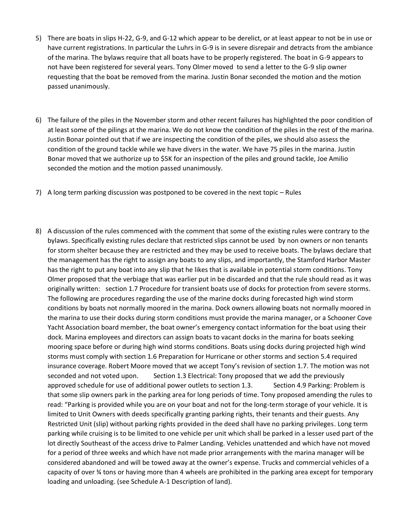- 5) There are boats in slips H-22, G-9, and G-12 which appear to be derelict, or at least appear to not be in use or have current registrations. In particular the Luhrs in G-9 is in severe disrepair and detracts from the ambiance of the marina. The bylaws require that all boats have to be properly registered. The boat in G-9 appears to not have been registered for several years. Tony Olmer moved to send a letter to the G-9 slip owner requesting that the boat be removed from the marina. Justin Bonar seconded the motion and the motion passed unanimously.
- 6) The failure of the piles in the November storm and other recent failures has highlighted the poor condition of at least some of the pilings at the marina. We do not know the condition of the piles in the rest of the marina. Justin Bonar pointed out that if we are inspecting the condition of the piles, we should also assess the condition of the ground tackle while we have divers in the water. We have 75 piles in the marina. Justin Bonar moved that we authorize up to \$5K for an inspection of the piles and ground tackle, Joe Amilio seconded the motion and the motion passed unanimously.
- 7) A long term parking discussion was postponed to be covered in the next topic Rules
- 8) A discussion of the rules commenced with the comment that some of the existing rules were contrary to the bylaws. Specifically existing rules declare that restricted slips cannot be used by non owners or non tenants for storm shelter because they are restricted and they may be used to receive boats. The bylaws declare that the management has the right to assign any boats to any slips, and importantly, the Stamford Harbor Master has the right to put any boat into any slip that he likes that is available in potential storm conditions. Tony Olmer proposed that the verbiage that was earlier put in be discarded and that the rule should read as it was originally written: section 1.7 Procedure for transient boats use of docks for protection from severe storms. The following are procedures regarding the use of the marine docks during forecasted high wind storm conditions by boats not normally moored in the marina. Dock owners allowing boats not normally moored in the marina to use their docks during storm conditions must provide the marina manager, or a Schooner Cove Yacht Association board member, the boat owner's emergency contact information for the boat using their dock. Marina employees and directors can assign boats to vacant docks in the marina for boats seeking mooring space before or during high wind storms conditions. Boats using docks during projected high wind storms must comply with section 1.6 Preparation for Hurricane or other storms and section 5.4 required insurance coverage. Robert Moore moved that we accept Tony's revision of section 1.7. The motion was not seconded and not voted upon. Section 1.3 Electrical: Tony proposed that we add the previously approved schedule for use of additional power outlets to section 1.3. Section 4.9 Parking: Problem is that some slip owners park in the parking area for long periods of time. Tony proposed amending the rules to read: "Parking is provided while you are on your boat and not for the long-term storage of your vehicle. It is limited to Unit Owners with deeds specifically granting parking rights, their tenants and their guests. Any Restricted Unit (slip) without parking rights provided in the deed shall have no parking privileges. Long term parking while cruising is to be limited to one vehicle per unit which shall be parked in a lesser used part of the lot directly Southeast of the access drive to Palmer Landing. Vehicles unattended and which have not moved for a period of three weeks and which have not made prior arrangements with the marina manager will be considered abandoned and will be towed away at the owner's expense. Trucks and commercial vehicles of a capacity of over ¾ tons or having more than 4 wheels are prohibited in the parking area except for temporary loading and unloading. (see Schedule A-1 Description of land).